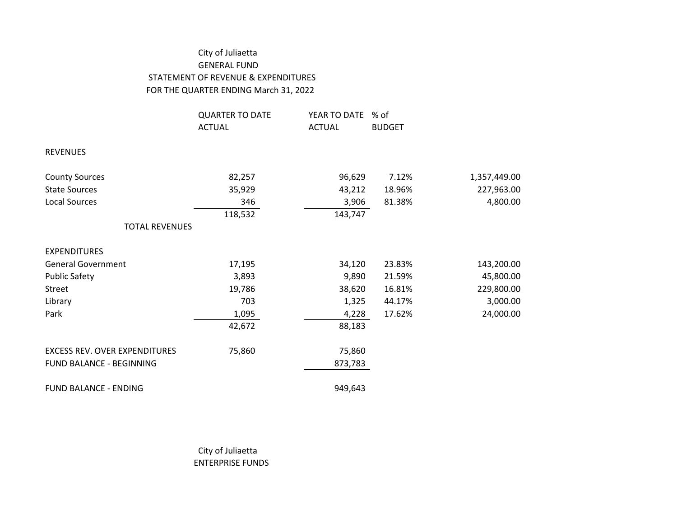## City of Juliaetta GENERAL FUND STATEMENT OF REVENUE & EXPENDITURES FOR THE QUARTER ENDING March 31, 2022

|                                      | <b>QUARTER TO DATE</b> | YEAR TO DATE  | % of          |              |
|--------------------------------------|------------------------|---------------|---------------|--------------|
|                                      | <b>ACTUAL</b>          | <b>ACTUAL</b> | <b>BUDGET</b> |              |
| <b>REVENUES</b>                      |                        |               |               |              |
| <b>County Sources</b>                | 82,257                 | 96,629        | 7.12%         | 1,357,449.00 |
| <b>State Sources</b>                 | 35,929                 | 43,212        | 18.96%        | 227,963.00   |
| <b>Local Sources</b>                 | 346                    | 3,906         | 81.38%        | 4,800.00     |
|                                      | 118,532                | 143,747       |               |              |
| <b>TOTAL REVENUES</b>                |                        |               |               |              |
| <b>EXPENDITURES</b>                  |                        |               |               |              |
| <b>General Government</b>            | 17,195                 | 34,120        | 23.83%        | 143,200.00   |
| <b>Public Safety</b>                 | 3,893                  | 9,890         | 21.59%        | 45,800.00    |
| Street                               | 19,786                 | 38,620        | 16.81%        | 229,800.00   |
| Library                              | 703                    | 1,325         | 44.17%        | 3,000.00     |
| Park                                 | 1,095                  | 4,228         | 17.62%        | 24,000.00    |
|                                      | 42,672                 | 88,183        |               |              |
| <b>EXCESS REV. OVER EXPENDITURES</b> | 75,860                 | 75,860        |               |              |
| FUND BALANCE - BEGINNING             |                        | 873,783       |               |              |
| <b>FUND BALANCE - ENDING</b>         |                        | 949,643       |               |              |

City of Juliaetta ENTERPRISE FUNDS